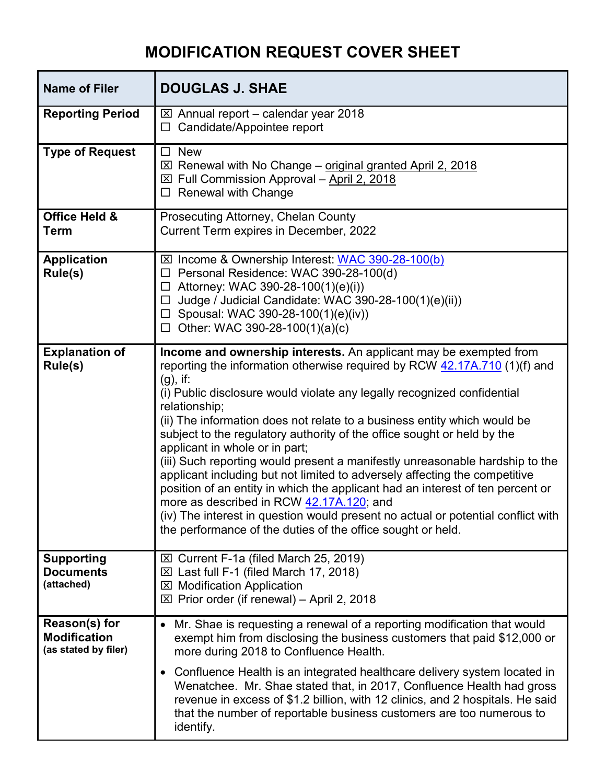## **MODIFICATION REQUEST COVER SHEET**

| <b>Name of Filer</b>                                         | <b>DOUGLAS J. SHAE</b>                                                                                                                                                                                                                                                                                                                                                                                                                                                                                                                                                                                                                                                                                                                                                                                                                                                                            |
|--------------------------------------------------------------|---------------------------------------------------------------------------------------------------------------------------------------------------------------------------------------------------------------------------------------------------------------------------------------------------------------------------------------------------------------------------------------------------------------------------------------------------------------------------------------------------------------------------------------------------------------------------------------------------------------------------------------------------------------------------------------------------------------------------------------------------------------------------------------------------------------------------------------------------------------------------------------------------|
| <b>Reporting Period</b>                                      | $\boxtimes$ Annual report – calendar year 2018<br>$\Box$ Candidate/Appointee report                                                                                                                                                                                                                                                                                                                                                                                                                                                                                                                                                                                                                                                                                                                                                                                                               |
| <b>Type of Request</b>                                       | $\Box$ New<br>$\boxtimes$ Renewal with No Change – original granted April 2, 2018<br>$\boxtimes$ Full Commission Approval - April 2, 2018<br>$\Box$ Renewal with Change                                                                                                                                                                                                                                                                                                                                                                                                                                                                                                                                                                                                                                                                                                                           |
| <b>Office Held &amp;</b><br><b>Term</b>                      | Prosecuting Attorney, Chelan County<br>Current Term expires in December, 2022                                                                                                                                                                                                                                                                                                                                                                                                                                                                                                                                                                                                                                                                                                                                                                                                                     |
| <b>Application</b><br>Rule(s)                                | ⊠ Income & Ownership Interest: WAC 390-28-100(b)<br>□ Personal Residence: WAC 390-28-100(d)<br>$\Box$ Attorney: WAC 390-28-100(1)(e)(i))<br>Judge / Judicial Candidate: WAC 390-28-100(1)(e)(ii))<br>$\Box$<br>$\Box$ Spousal: WAC 390-28-100(1)(e)(iv))<br>$\Box$ Other: WAC 390-28-100(1)(a)(c)                                                                                                                                                                                                                                                                                                                                                                                                                                                                                                                                                                                                 |
| <b>Explanation of</b><br>Rule(s)                             | Income and ownership interests. An applicant may be exempted from<br>reporting the information otherwise required by RCW 42.17A.710 (1)(f) and<br>$(g)$ , if:<br>(i) Public disclosure would violate any legally recognized confidential<br>relationship;<br>(ii) The information does not relate to a business entity which would be<br>subject to the regulatory authority of the office sought or held by the<br>applicant in whole or in part;<br>(iii) Such reporting would present a manifestly unreasonable hardship to the<br>applicant including but not limited to adversely affecting the competitive<br>position of an entity in which the applicant had an interest of ten percent or<br>more as described in RCW 42.17A.120; and<br>(iv) The interest in question would present no actual or potential conflict with<br>the performance of the duties of the office sought or held. |
| <b>Supporting</b><br><b>Documents</b><br>(attached)          | $\boxtimes$ Current F-1a (filed March 25, 2019)<br>$\boxtimes$ Last full F-1 (filed March 17, 2018)<br><b>⊠ Modification Application</b><br>$\boxtimes$ Prior order (if renewal) – April 2, 2018                                                                                                                                                                                                                                                                                                                                                                                                                                                                                                                                                                                                                                                                                                  |
| Reason(s) for<br><b>Modification</b><br>(as stated by filer) | Mr. Shae is requesting a renewal of a reporting modification that would<br>exempt him from disclosing the business customers that paid \$12,000 or<br>more during 2018 to Confluence Health.<br>Confluence Health is an integrated healthcare delivery system located in<br>Wenatchee. Mr. Shae stated that, in 2017, Confluence Health had gross<br>revenue in excess of \$1.2 billion, with 12 clinics, and 2 hospitals. He said<br>that the number of reportable business customers are too numerous to<br>identify.                                                                                                                                                                                                                                                                                                                                                                           |